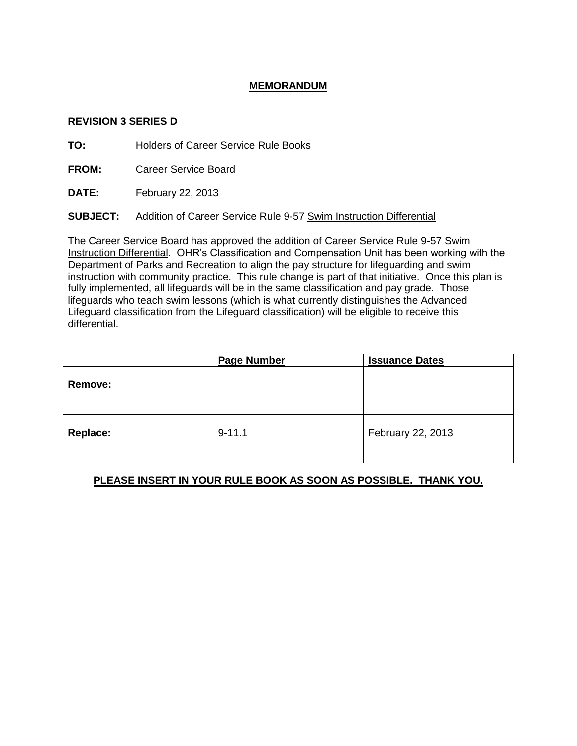## **MEMORANDUM**

## **REVISION 3 SERIES D**

**TO:** Holders of Career Service Rule Books

**FROM:** Career Service Board

**DATE:** February 22, 2013

**SUBJECT:** Addition of Career Service Rule 9-57 Swim Instruction Differential

The Career Service Board has approved the addition of Career Service Rule 9-57 Swim Instruction Differential. OHR's Classification and Compensation Unit has been working with the Department of Parks and Recreation to align the pay structure for lifeguarding and swim instruction with community practice. This rule change is part of that initiative. Once this plan is fully implemented, all lifeguards will be in the same classification and pay grade. Those lifeguards who teach swim lessons (which is what currently distinguishes the Advanced Lifeguard classification from the Lifeguard classification) will be eligible to receive this differential.

|                 | <b>Page Number</b> | <b>Issuance Dates</b> |
|-----------------|--------------------|-----------------------|
| <b>Remove:</b>  |                    |                       |
| <b>Replace:</b> | $9 - 11.1$         | February 22, 2013     |

## **PLEASE INSERT IN YOUR RULE BOOK AS SOON AS POSSIBLE. THANK YOU.**